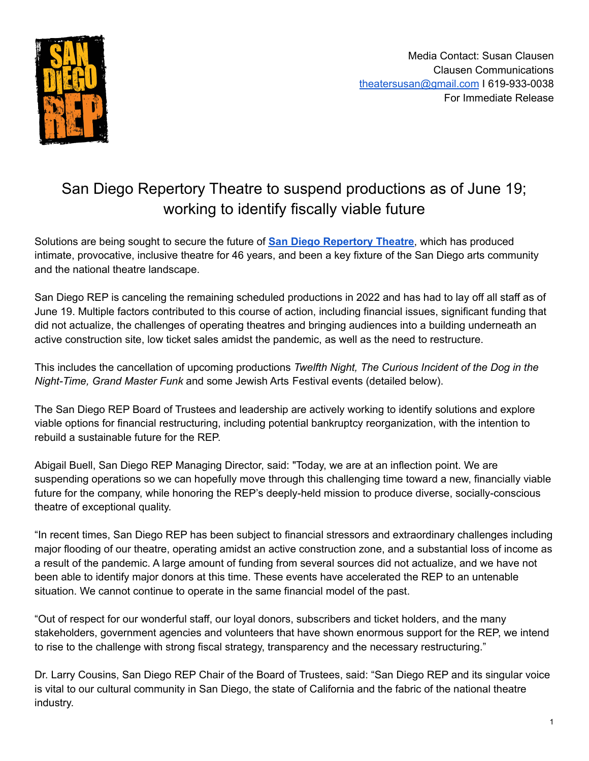

# San Diego Repertory Theatre to suspend productions as of June 19; working to identify fiscally viable future

Solutions are being sought to secure the future of **San Diego [Repertory](http://www.sdrep.org) Theatre**, which has produced intimate, provocative, inclusive theatre for 46 years, and been a key fixture of the San Diego arts community and the national theatre landscape.

San Diego REP is canceling the remaining scheduled productions in 2022 and has had to lay off all staff as of June 19. Multiple factors contributed to this course of action, including financial issues, significant funding that did not actualize, the challenges of operating theatres and bringing audiences into a building underneath an active construction site, low ticket sales amidst the pandemic, as well as the need to restructure.

This includes the cancellation of upcoming productions *Twelfth Night, The Curious Incident of the Dog in the Night-Time, Grand Master Funk* and some Jewish Arts Festival events (detailed below).

The San Diego REP Board of Trustees and leadership are actively working to identify solutions and explore viable options for financial restructuring, including potential bankruptcy reorganization, with the intention to rebuild a sustainable future for the REP.

Abigail Buell, San Diego REP Managing Director, said: "Today, we are at an inflection point. We are suspending operations so we can hopefully move through this challenging time toward a new, financially viable future for the company, while honoring the REP's deeply-held mission to produce diverse, socially-conscious theatre of exceptional quality.

"In recent times, San Diego REP has been subject to financial stressors and extraordinary challenges including major flooding of our theatre, operating amidst an active construction zone, and a substantial loss of income as a result of the pandemic. A large amount of funding from several sources did not actualize, and we have not been able to identify major donors at this time. These events have accelerated the REP to an untenable situation. We cannot continue to operate in the same financial model of the past.

"Out of respect for our wonderful staff, our loyal donors, subscribers and ticket holders, and the many stakeholders, government agencies and volunteers that have shown enormous support for the REP, we intend to rise to the challenge with strong fiscal strategy, transparency and the necessary restructuring."

Dr. Larry Cousins, San Diego REP Chair of the Board of Trustees, said: "San Diego REP and its singular voice is vital to our cultural community in San Diego, the state of California and the fabric of the national theatre industry.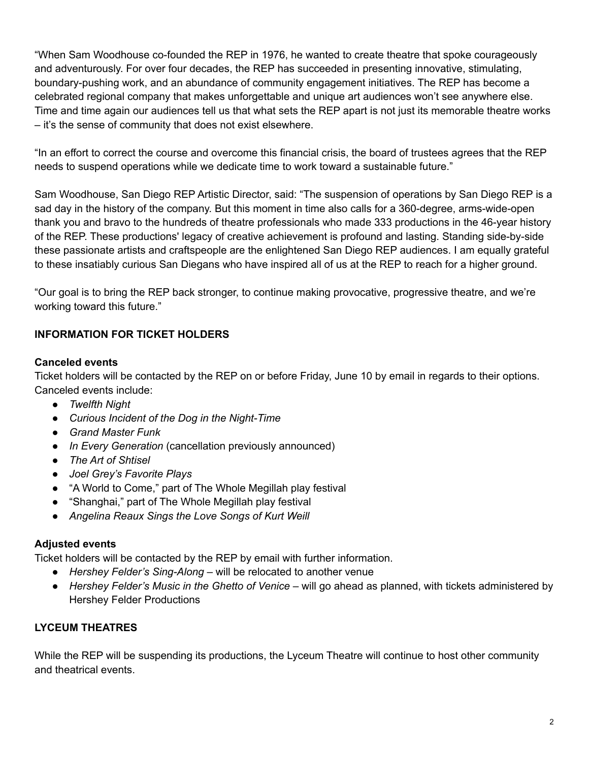"When Sam Woodhouse co-founded the REP in 1976, he wanted to create theatre that spoke courageously and adventurously. For over four decades, the REP has succeeded in presenting innovative, stimulating, boundary-pushing work, and an abundance of community engagement initiatives. The REP has become a celebrated regional company that makes unforgettable and unique art audiences won't see anywhere else. Time and time again our audiences tell us that what sets the REP apart is not just its memorable theatre works – it's the sense of community that does not exist elsewhere.

"In an effort to correct the course and overcome this financial crisis, the board of trustees agrees that the REP needs to suspend operations while we dedicate time to work toward a sustainable future."

Sam Woodhouse, San Diego REP Artistic Director, said: "The suspension of operations by San Diego REP is a sad day in the history of the company. But this moment in time also calls for a 360-degree, arms-wide-open thank you and bravo to the hundreds of theatre professionals who made 333 productions in the 46-year history of the REP. These productions' legacy of creative achievement is profound and lasting. Standing side-by-side these passionate artists and craftspeople are the enlightened San Diego REP audiences. I am equally grateful to these insatiably curious San Diegans who have inspired all of us at the REP to reach for a higher ground.

"Our goal is to bring the REP back stronger, to continue making provocative, progressive theatre, and we're working toward this future."

## **INFORMATION FOR TICKET HOLDERS**

#### **Canceled events**

Ticket holders will be contacted by the REP on or before Friday, June 10 by email in regards to their options. Canceled events include:

- *● Twelfth Night*
- *● Curious Incident of the Dog in the Night-Time*
- *● Grand Master Funk*
- *In Every Generation* (cancellation previously announced)
- *● The Art of Shtisel*
- *● Joel Grey's Favorite Plays*
- "A World to Come," part of The Whole Megillah play festival
- "Shanghai," part of The Whole Megillah play festival
- *● Angelina Reaux Sings the Love Songs of Kurt Weill*

#### **Adjusted events**

Ticket holders will be contacted by the REP by email with further information.

- *Hershey Felder's Sing-Along* will be relocated to another venue
- *Hershey Felder's Music in the Ghetto of Venice* will go ahead as planned, with tickets administered by Hershey Felder Productions

## **LYCEUM THEATRES**

While the REP will be suspending its productions, the Lyceum Theatre will continue to host other community and theatrical events.